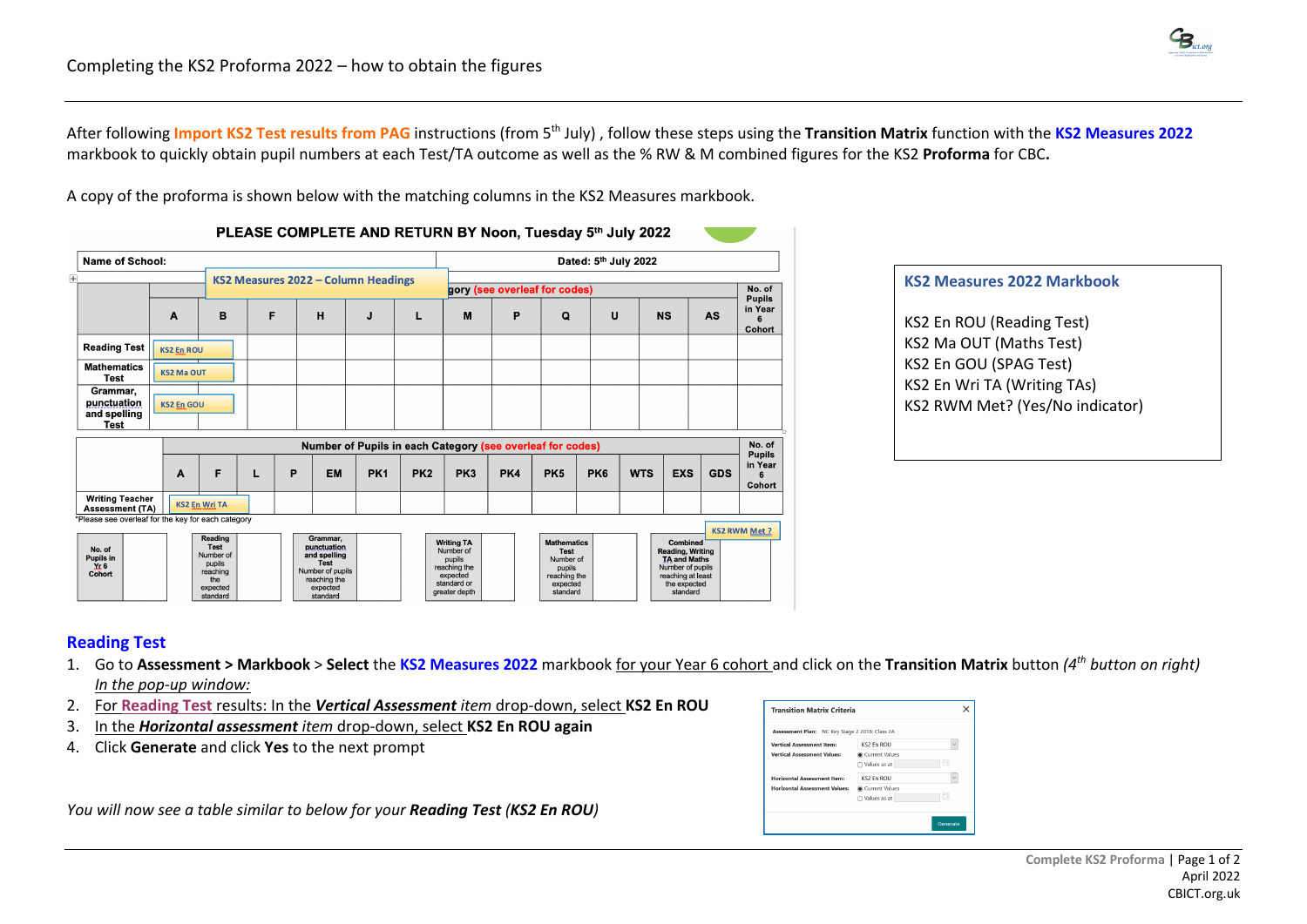

After following **Import KS2 Test results from PAG** instructions (from 5th July) , follow these steps using the **Transition Matrix** function with the **KS2 Measures 2022** markbook to quickly obtain pupil numbers at each Test/TA outcome as well as the % RW & M combined figures for the KS2 **Proforma** for CBC**.**

A copy of the proforma is shown below with the matching columns in the KS2 Measures markbook.

| Name of School:                                        |                   |                                                                                          |   |                                                                                                                    |                 |                 |                                                                                                      |     |                                                                                                  | Dated: 5th July 2022 |            |                                                                                                                                 |            |                                    |
|--------------------------------------------------------|-------------------|------------------------------------------------------------------------------------------|---|--------------------------------------------------------------------------------------------------------------------|-----------------|-----------------|------------------------------------------------------------------------------------------------------|-----|--------------------------------------------------------------------------------------------------|----------------------|------------|---------------------------------------------------------------------------------------------------------------------------------|------------|------------------------------------|
|                                                        |                   |                                                                                          |   | KS2 Measures 2022 - Column Headings                                                                                |                 |                 |                                                                                                      |     | gory (see overleaf for codes)                                                                    |                      |            |                                                                                                                                 |            | No. of                             |
|                                                        | A                 | в                                                                                        | F | н                                                                                                                  | J               | L               | M                                                                                                    | P   | Q                                                                                                | U                    |            | <b>NS</b>                                                                                                                       | <b>AS</b>  | <b>Pupils</b><br>in Year<br>Cohort |
| <b>Reading Test</b>                                    | <b>KS2 En ROU</b> |                                                                                          |   |                                                                                                                    |                 |                 |                                                                                                      |     |                                                                                                  |                      |            |                                                                                                                                 |            |                                    |
| <b>Mathematics</b><br><b>Test</b>                      | <b>KS2 Ma OUT</b> |                                                                                          |   |                                                                                                                    |                 |                 |                                                                                                      |     |                                                                                                  |                      |            |                                                                                                                                 |            |                                    |
| Grammar,<br>punctuation<br>and spelling<br><b>Test</b> | <b>KS2 En GOU</b> |                                                                                          |   |                                                                                                                    |                 |                 |                                                                                                      |     |                                                                                                  |                      |            |                                                                                                                                 |            |                                    |
|                                                        |                   |                                                                                          |   |                                                                                                                    |                 |                 | Number of Pupils in each Category (see overleaf for codes)                                           |     |                                                                                                  |                      |            |                                                                                                                                 |            | No. of<br><b>Pupils</b>            |
|                                                        | A                 | F                                                                                        |   | P<br><b>EM</b>                                                                                                     | PK <sub>1</sub> | PK <sub>2</sub> | PK3                                                                                                  | PK4 | PK <sub>5</sub>                                                                                  | PK <sub>6</sub>      | <b>WTS</b> | <b>EXS</b>                                                                                                                      | <b>GDS</b> | in Year<br>Cohort                  |
| <b>Writing Teacher</b><br><b>Assessment (TA)</b>       |                   | <b>KS2 En Wri TA</b>                                                                     |   |                                                                                                                    |                 |                 |                                                                                                      |     |                                                                                                  |                      |            |                                                                                                                                 |            |                                    |
| *Please see overleaf for the key for each category     |                   |                                                                                          |   |                                                                                                                    |                 |                 |                                                                                                      |     |                                                                                                  |                      |            |                                                                                                                                 |            | <b>KS2 RWM Met?</b>                |
| No. of<br>Pupils in<br>32.6<br>Cohort                  |                   | Reading<br><b>Test</b><br>Number of<br>pupils<br>reaching<br>the<br>expected<br>standard |   | Grammar,<br>punctuation<br>and spelling<br><b>Test</b><br>Number of pupils<br>reaching the<br>expected<br>standard |                 |                 | <b>Writing TA</b><br>Number of<br>pupils<br>reaching the<br>expected<br>standard or<br>greater depth |     | <b>Mathematics</b><br><b>Test</b><br>Number of<br>pupils<br>reaching the<br>expected<br>standard |                      |            | Combined<br><b>Reading, Writing</b><br><b>TA and Maths</b><br>Number of pupils<br>reaching at least<br>the expected<br>standard |            |                                    |

## **KS2 Measures 2022 Markbook**

KS2 En ROU (Reading Test) KS2 Ma OUT (Maths Test) KS2 En GOU (SPAG Test) KS2 En Wri TA (Writing TAs) KS2 RWM Met? (Yes/No indicator)

## **Reading Test**

- 1. Go to **Assessment > Markbook** > **Select** the **KS2 Measures 2022** markbook for your Year 6 cohort and click on the **Transition Matrix** button *(4th button on right) In the pop-up window:*
- 2. For **Reading Test** results: In the *Vertical Assessment item* drop-down, select **KS2 En ROU**
- 3. In the *Horizontal assessment item* drop-down, select **KS2 En ROU again**
- 4. Click **Generate** and click **Yes** to the next prompt

*You will now see a table similar to below for your Reading Test (KS2 En ROU)*

| Assessment Plan: NC Key Stage 2 2018: Class 2A |                |        |
|------------------------------------------------|----------------|--------|
| <b>Vertical Assessment Item:</b>               | KS2 En ROU     | $\sim$ |
| <b>Vertical Assessment Values:</b>             | Current Values |        |
|                                                | ◯ Values as at | - 14   |
| <b>Horizontal Assessment Item:</b>             | KS2 En ROU     | $\vee$ |
| <b>Horizontal Assessment Values:</b>           | Current Values |        |
|                                                | ◯ Values as at | œ      |